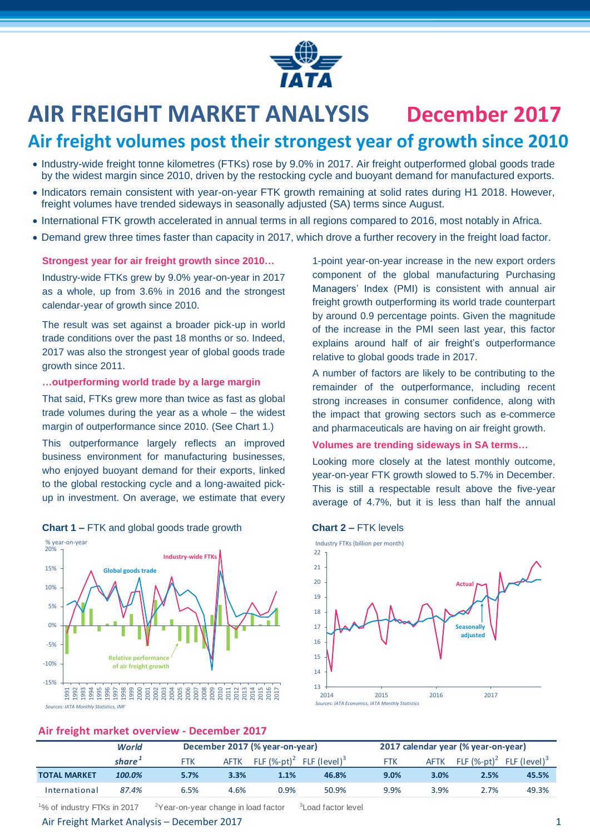

# **AIR FREIGHT MARKET ANALYSIS December 2017**

# **Air freight volumes post their strongest year of growth since 2010**

- Industry-wide freight tonne kilometres (FTKs) rose by 9.0% in 2017. Air freight outperformed global goods trade by the widest margin since 2010, driven by the restocking cycle and buoyant demand for manufactured exports.
- Indicators remain consistent with year-on-year FTK growth remaining at solid rates during H1 2018. However, freight volumes have trended sideways in seasonally adjusted (SA) terms since August.
- International FTK growth accelerated in annual terms in all regions compared to 2016, most notably in Africa.
- Demand grew three times faster than capacity in 2017, which drove a further recovery in the freight load factor.

## **Strongest year for air freight growth since 2010…**

Industry-wide FTKs grew by 9.0% year-on-year in 2017 as a whole, up from 3.6% in 2016 and the strongest calendar-year of growth since 2010.

The result was set against a broader pick-up in world trade conditions over the past 18 months or so. Indeed, 2017 was also the strongest year of global goods trade growth since 2011.

#### **…outperforming world trade by a large margin**

That said, FTKs grew more than twice as fast as global trade volumes during the year as a whole – the widest margin of outperformance since 2010. (See Chart 1.)

This outperformance largely reflects an improved business environment for manufacturing businesses, who enjoyed buoyant demand for their exports, linked to the global restocking cycle and a long-awaited pickup in investment. On average, we estimate that every





1-point year-on-year increase in the new export orders component of the global manufacturing Purchasing Managers' Index (PMI) is consistent with annual air freight growth outperforming its world trade counterpart by around 0.9 percentage points. Given the magnitude of the increase in the PMI seen last year, this factor explains around half of air freight's outperformance relative to global goods trade in 2017.

A number of factors are likely to be contributing to the remainder of the outperformance, including recent strong increases in consumer confidence, along with the impact that growing sectors such as e-commerce and pharmaceuticals are having on air freight growth.

# **Volumes are trending sideways in SA terms…**

Looking more closely at the latest monthly outcome, year-on-year FTK growth slowed to 5.7% in December. This is still a respectable result above the five-year average of 4.7%, but it is less than half the annual





# **Air freight market overview - December 2017**

| -                   |        |                                |             |                             |                          |                                     |             |                                                      |       |
|---------------------|--------|--------------------------------|-------------|-----------------------------|--------------------------|-------------------------------------|-------------|------------------------------------------------------|-------|
|                     | World  | December 2017 (% year-on-year) |             |                             |                          | 2017 calendar year (% year-on-year) |             |                                                      |       |
|                     | share* | <b>FTK</b>                     | <b>AFTK</b> | FLF $(\%$ -pt) <sup>2</sup> | FLF (level) <sup>3</sup> | <b>FTK</b>                          | <b>AFTK</b> | FLF $(\%$ -pt) <sup>2</sup> FLF (level) <sup>3</sup> |       |
| <b>TOTAL MARKET</b> | 100.0% | 5.7%                           | 3.3%        | 1.1%                        | 46.8%                    | 9.0%                                | 3.0%        | 2.5%                                                 | 45.5% |
| International       | 87.4%  | 6.5%                           | 4.6%        | 0.9%                        | 50.9%                    | 9.9%                                | 3.9%        | 2.7%                                                 | 49.3% |

<sup>1</sup>% of industry FTKs in 2017  $2^2$ Year-on-year change in load factor

# Air Freight Market Analysis – December 2017 1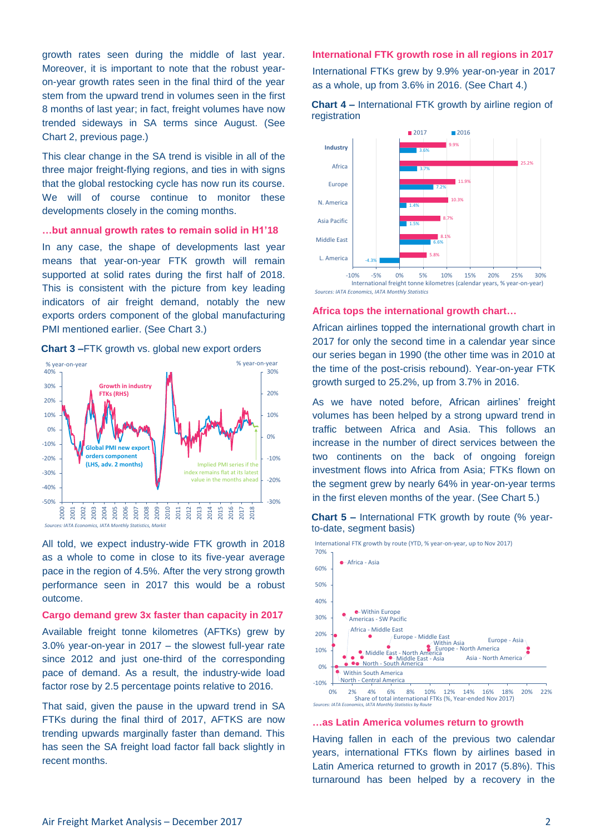growth rates seen during the middle of last year. Moreover, it is important to note that the robust yearon-year growth rates seen in the final third of the year stem from the upward trend in volumes seen in the first 8 months of last year; in fact, freight volumes have now trended sideways in SA terms since August. (See Chart 2, previous page.)

This clear change in the SA trend is visible in all of the three major freight-flying regions, and ties in with signs that the global restocking cycle has now run its course. We will of course continue to monitor these developments closely in the coming months.

#### **…but annual growth rates to remain solid in H1'18**

In any case, the shape of developments last year means that year-on-year FTK growth will remain supported at solid rates during the first half of 2018. This is consistent with the picture from key leading indicators of air freight demand, notably the new exports orders component of the global manufacturing PMI mentioned earlier. (See Chart 3.)

**Chart 3 –**FTK growth vs. global new export orders



*Sources: IATA Economics, IATA Monthly Statistics, Markit*

All told, we expect industry-wide FTK growth in 2018 as a whole to come in close to its five-year average pace in the region of 4.5%. After the very strong growth performance seen in 2017 this would be a robust outcome.

#### **Cargo demand grew 3x faster than capacity in 2017**

Available freight tonne kilometres (AFTKs) grew by 3.0% year-on-year in 2017 – the slowest full-year rate since 2012 and just one-third of the corresponding pace of demand. As a result, the industry-wide load factor rose by 2.5 percentage points relative to 2016.

That said, given the pause in the upward trend in SA FTKs during the final third of 2017, AFTKS are now trending upwards marginally faster than demand. This has seen the SA freight load factor fall back slightly in recent months.

#### **International FTK growth rose in all regions in 2017**

International FTKs grew by 9.9% year-on-year in 2017 as a whole, up from 3.6% in 2016. (See Chart 4.)

**Chart 4 –** International FTK growth by airline region of

registration



-10% -5% 0% 5% 10% 15% 20% 25% 30% International freight tonne kilometres (calendar years, % year-on-year) *Sources: IATA Economics, IATA Monthly Statistics*

#### **Africa tops the international growth chart…**

African airlines topped the international growth chart in 2017 for only the second time in a calendar year since our series began in 1990 (the other time was in 2010 at the time of the post-crisis rebound). Year-on-year FTK growth surged to 25.2%, up from 3.7% in 2016.

As we have noted before, African airlines' freight volumes has been helped by a strong upward trend in traffic between Africa and Asia. This follows an increase in the number of direct services between the two continents on the back of ongoing foreign investment flows into Africa from Asia; FTKs flown on the segment grew by nearly 64% in year-on-year terms in the first eleven months of the year. (See Chart 5.)





0% 2% 4% 6% 8% 10% 12% 14% 16% 18% 20% 22% Share of total international FTKs (%, Year-ended Nov 2017) Sources: *IATA Frou* 

#### **…as Latin America volumes return to growth**

Having fallen in each of the previous two calendar years, international FTKs flown by airlines based in Latin America returned to growth in 2017 (5.8%). This turnaround has been helped by a recovery in the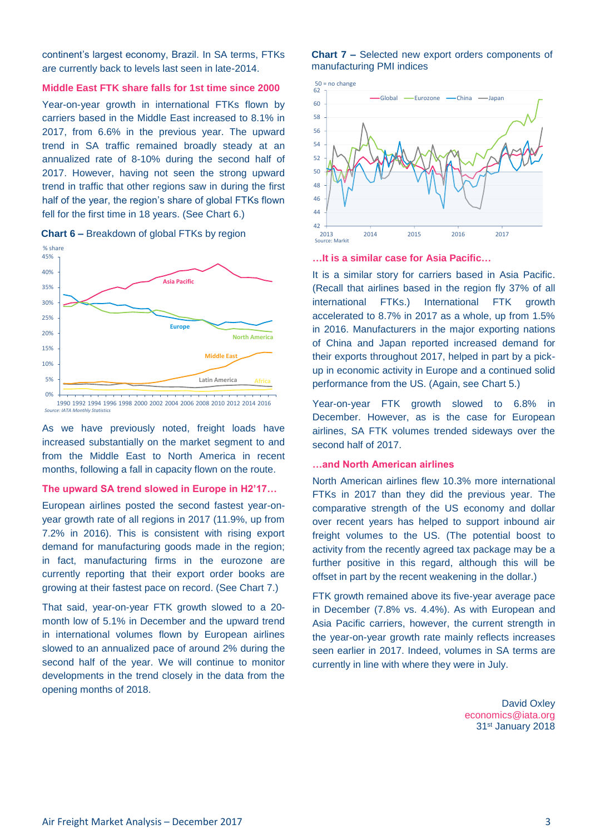continent's largest economy, Brazil. In SA terms, FTKs are currently back to levels last seen in late-2014.

#### **Middle East FTK share falls for 1st time since 2000**

Year-on-year growth in international FTKs flown by carriers based in the Middle East increased to 8.1% in 2017, from 6.6% in the previous year. The upward trend in SA traffic remained broadly steady at an annualized rate of 8-10% during the second half of 2017. However, having not seen the strong upward trend in traffic that other regions saw in during the first half of the year, the region's share of global FTKs flown fell for the first time in 18 years. (See Chart 6.)



**Chart 6 –** Breakdown of global FTKs by region

#### 1990 1992 1994 1996 1998 2000 2002 2004 2006 2008 2010 2012 2014 2016 *Source: IATA Monthly Statistics*

As we have previously noted, freight loads have increased substantially on the market segment to and from the Middle East to North America in recent months, following a fall in capacity flown on the route.

#### **The upward SA trend slowed in Europe in H2'17…**

European airlines posted the second fastest year-onyear growth rate of all regions in 2017 (11.9%, up from 7.2% in 2016). This is consistent with rising export demand for manufacturing goods made in the region; in fact, manufacturing firms in the eurozone are currently reporting that their export order books are growing at their fastest pace on record. (See Chart 7.)

That said, year-on-year FTK growth slowed to a 20 month low of 5.1% in December and the upward trend in international volumes flown by European airlines slowed to an annualized pace of around 2% during the second half of the year. We will continue to monitor developments in the trend closely in the data from the opening months of 2018.

#### **Chart 7 –** Selected new export orders components of manufacturing PMI indices



**…It is a similar case for Asia Pacific…**

It is a similar story for carriers based in Asia Pacific. (Recall that airlines based in the region fly 37% of all international FTKs.) International FTK growth accelerated to 8.7% in 2017 as a whole, up from 1.5% in 2016. Manufacturers in the major exporting nations of China and Japan reported increased demand for their exports throughout 2017, helped in part by a pickup in economic activity in Europe and a continued solid performance from the US. (Again, see Chart 5.)

Year-on-year FTK growth slowed to 6.8% in December. However, as is the case for European airlines, SA FTK volumes trended sideways over the second half of 2017.

#### **…and North American airlines**

North American airlines flew 10.3% more international FTKs in 2017 than they did the previous year. The comparative strength of the US economy and dollar over recent years has helped to support inbound air freight volumes to the US. (The potential boost to activity from the recently agreed tax package may be a further positive in this regard, although this will be offset in part by the recent weakening in the dollar.)

FTK growth remained above its five-year average pace in December (7.8% vs. 4.4%). As with European and Asia Pacific carriers, however, the current strength in the year-on-year growth rate mainly reflects increases seen earlier in 2017. Indeed, volumes in SA terms are currently in line with where they were in July.

> David Oxley [economics@iata.org](mailto:economics@iata.org) 31st January 2018